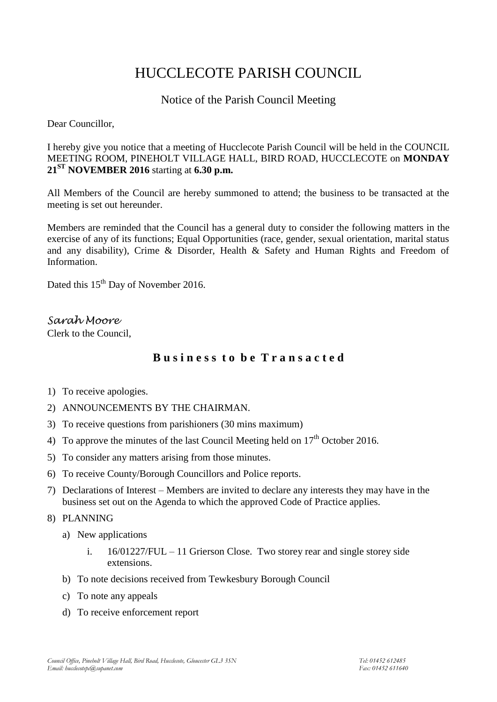# HUCCLECOTE PARISH COUNCIL

## Notice of the Parish Council Meeting

Dear Councillor,

I hereby give you notice that a meeting of Hucclecote Parish Council will be held in the COUNCIL MEETING ROOM, PINEHOLT VILLAGE HALL, BIRD ROAD, HUCCLECOTE on **MONDAY 21ST NOVEMBER 2016** starting at **6.30 p.m.**

All Members of the Council are hereby summoned to attend; the business to be transacted at the meeting is set out hereunder.

Members are reminded that the Council has a general duty to consider the following matters in the exercise of any of its functions; Equal Opportunities (race, gender, sexual orientation, marital status and any disability), Crime & Disorder, Health & Safety and Human Rights and Freedom of Information.

Dated this 15<sup>th</sup> Day of November 2016.

*Sarah Moore* Clerk to the Council,

# **B u s i n e s s t o b e T r a n s a c t e d**

- 1) To receive apologies.
- 2) ANNOUNCEMENTS BY THE CHAIRMAN.
- 3) To receive questions from parishioners (30 mins maximum)
- 4) To approve the minutes of the last Council Meeting held on  $17<sup>th</sup>$  October 2016.
- 5) To consider any matters arising from those minutes.
- 6) To receive County/Borough Councillors and Police reports.
- 7) Declarations of Interest Members are invited to declare any interests they may have in the business set out on the Agenda to which the approved Code of Practice applies.
- 8) PLANNING
	- a) New applications
		- i. 16/01227/FUL 11 Grierson Close. Two storey rear and single storey side extensions.
	- b) To note decisions received from Tewkesbury Borough Council
	- c) To note any appeals
	- d) To receive enforcement report